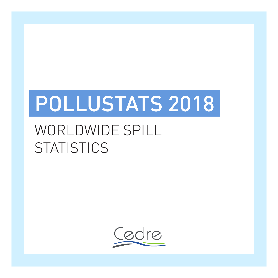# POLLUSTATS 2018

## WORLDWIDE SPILL **STATISTICS**

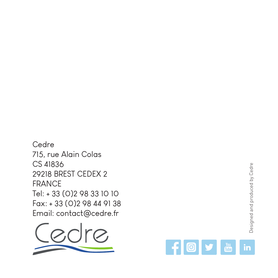

715, rue Alain Colas

29218 BREST CEDEX 2

Cedre

CS 41836

FRANCE

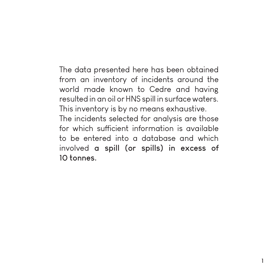The data presented here has been obtained from an inventory of incidents around the world made known to Cedre and having resulted in an oil or HNS spill in surface waters. This inventory is by no means exhaustive. The incidents selected for analysis are those for which sufficient information is available to be entered into a database and which involved **a spill (or spills) in excess of 10 tonnes.**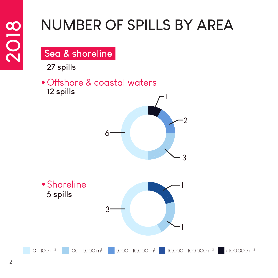## **NUMBER OF SPILLS BY AREA**

#### **Sea & shoreline**

**27 spills**

**12 spills** Offshore & coastal waters



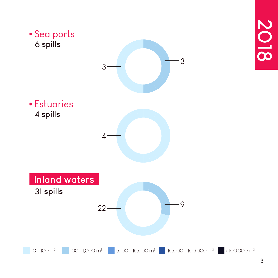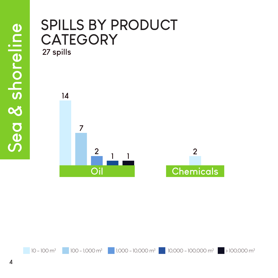### **SPILLS BY PRODUCT CATEGORY**

**27 spills**



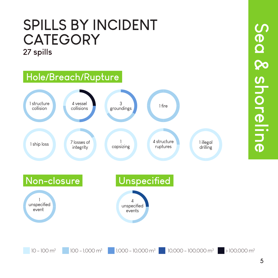### **27 spills SPILLS BY INCIDENT CATEGORY**

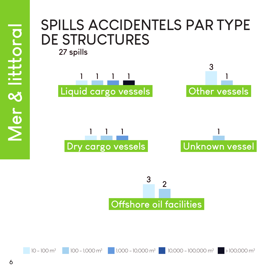#### **1 1 1 1 3 1 SPILLS ACCIDENTELS PAR TYPE DE STRUCTURES 27 spills**



**Liquid cargo vessels**



**Other vessels**



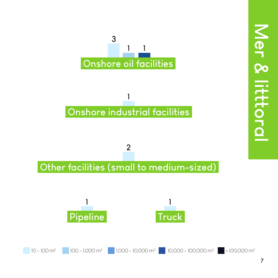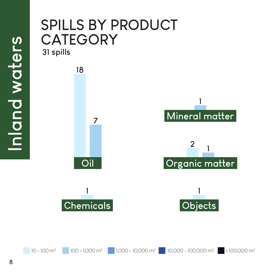# **Mineral matter <sup>2</sup> <sup>1</sup> 1 18 7 31 spills SPILLS BY PRODUCT CATEGORY**



**Oil**



**Organic matter**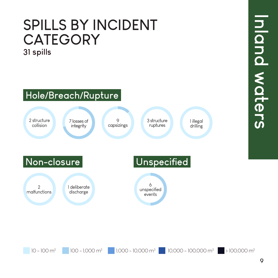### **31 spills SPILLS BY INCIDENT CATEGORY**

### **Hole/Breach/Rupture**



 $10 - 100$  m<sup>3</sup> 100 - 1,000 m<sup>3</sup> 1,000 - 10,000 m<sup>3</sup> 1,0000 - 100,000 m<sup>3</sup> 10,0000 m<sup>3</sup>

Inland waters **Inland waters**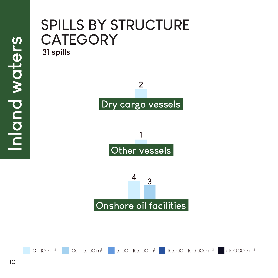### **31 spills SPILLS BY STRUCTURE CATEGORY**



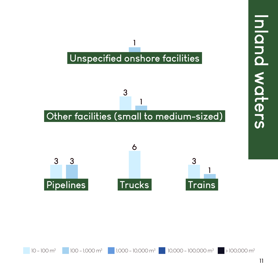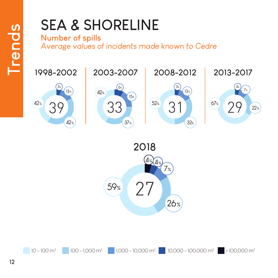# **SEA & SHORELINE**

#### **Number of spills**

*Average values of incidents made known to Cedre*





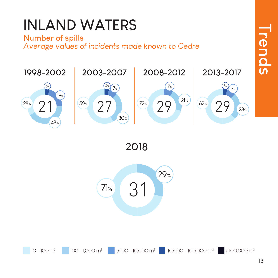# **INLAND WATERS**

#### **Number of spills**

*Average values of incidents made known to Cedre*



**2018**



 $10-100 \text{ m}^3$  1,000 - 1,000 m<sup>3</sup> 1,000 - 10,000 m<sup>3</sup> 10,000 - 100,000 m<sup>3</sup> 10,0000 m<sup>3</sup>